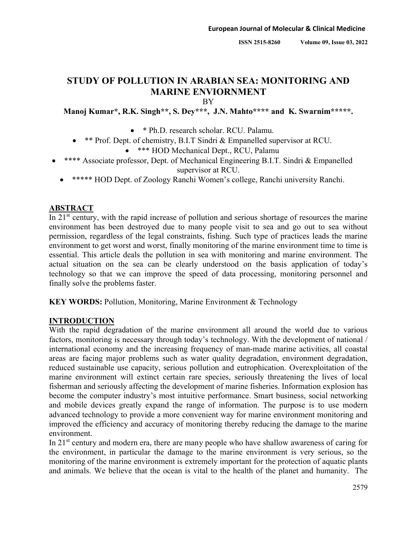# **STUDY OF POLLUTION IN ARABIAN SEA: MONITORING AND MARINE ENVIORNMENT**

#### BY

**Manoj Kumar\*, R.K. Singh\*\*, S. Dey\*\*\*, J.N. Mahto\*\*\*\* and K. Swarnim\*\*\*\*\*.**

∑ \* Ph.D. research scholar. RCU. Palamu.

∑ \*\* Prof. Dept. of chemistry, B.I.T Sindri & Empanelled supervisor at RCU.

∑ \*\*\* HOD Mechanical Dept., RCU, Palamu

- \*\*\*\* Associate professor, Dept. of Mechanical Engineering B.I.T. Sindri & Empanelled supervisor at RCU.
	- ∑ \*\*\*\*\* HOD Dept. of Zoology Ranchi Women's college, Ranchi university Ranchi.

# **ABSTRACT**

In  $21<sup>st</sup>$  century, with the rapid increase of pollution and serious shortage of resources the marine environment has been destroyed due to many people visit to sea and go out to sea without permission, regardless of the legal constraints, fishing. Such type of practices leads the marine environment to get worst and worst, finally monitoring of the marine environment time to time is essential. This article deals the pollution in sea with monitoring and marine environment. The actual situation on the sea can be clearly understood on the basis application of today's technology so that we can improve the speed of data processing, monitoring personnel and finally solve the problems faster.

**KEY WORDS:** Pollution, Monitoring, Marine Environment & Technology

#### **INTRODUCTION**

With the rapid degradation of the marine environment all around the world due to various factors, monitoring is necessary through today's technology. With the development of national / international economy and the increasing frequency of man-made marine activities, all coastal areas are facing major problems such as water quality degradation, environment degradation, reduced sustainable use capacity, serious pollution and eutrophication. Overexploitation of the marine environment will extinct certain rare species, seriously threatening the lives of local fisherman and seriously affecting the development of marine fisheries. Information explosion has become the computer industry's most intuitive performance. Smart business, social networking and mobile devices greatly expand the range of information. The purpose is to use modern advanced technology to provide a more convenient way for marine environment monitoring and improved the efficiency and accuracy of monitoring thereby reducing the damage to the marine environment.

In  $21<sup>st</sup>$  century and modern era, there are many people who have shallow awareness of caring for the environment, in particular the damage to the marine environment is very serious, so the monitoring of the marine environment is extremely important for the protection of aquatic plants and animals. We believe that the ocean is vital to the health of the planet and humanity. The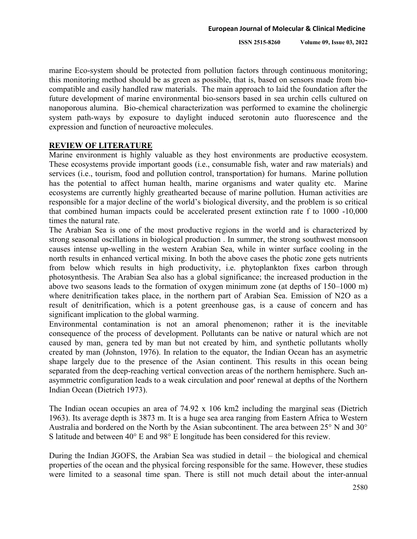marine Eco-system should be protected from pollution factors through continuous monitoring; this monitoring method should be as green as possible, that is, based on sensors made from biocompatible and easily handled raw materials. The main approach to laid the foundation after the future development of marine environmental bio-sensors based in sea urchin cells cultured on nanoporous alumina. Bio-chemical characterization was performed to examine the cholinergic system path-ways by exposure to daylight induced serotonin auto fluorescence and the expression and function of neuroactive molecules.

#### **REVIEW OF LITERATURE**

Marine environment is highly valuable as they host environments are productive ecosystem. These ecosystems provide important goods (i.e., consumable fish, water and raw materials) and services (i.e., tourism, food and pollution control, transportation) for humans. Marine pollution has the potential to affect human health, marine organisms and water quality etc. Marine ecosystems are currently highly greathearted because of marine pollution. Human activities are responsible for a major decline of the world's biological diversity, and the problem is so critical that combined human impacts could be accelerated present extinction rate f to 1000 -10,000 times the natural rate.

The Arabian Sea is one of the most productive regions in the world and is characterized by strong seasonal oscillations in biological production . In summer, the strong southwest monsoon causes intense up-welling in the western Arabian Sea, while in winter surface cooling in the north results in enhanced vertical mixing. In both the above cases the photic zone gets nutrients from below which results in high productivity, i.e. phytoplankton fixes carbon through photosynthesis. The Arabian Sea also has a global significance; the increased production in the above two seasons leads to the formation of oxygen minimum zone (at depths of 150–1000 m) where denitrification takes place, in the northern part of Arabian Sea. Emission of N2O as a result of denitrification, which is a potent greenhouse gas, is a cause of concern and has significant implication to the global warming.

Environmental contamination is not an amoral phenomenon; rather it is the inevitable consequence of the process of development. Pollutants can be native or natural which are not caused by man, genera ted by man but not created by him, and synthetic pollutants wholly created by man (Johnston, 1976). In relation to the equator, the Indian Ocean has an asymetric shape largely due to the presence of the Asian continent. This results in this ocean being separated from the deep-reaching vertical convection areas of the northern hemisphere. Such anasymmetric configuration leads to a weak circulation and poor' renewal at depths of the Northern Indian Ocean (Dietrich 1973).

The Indian ocean occupies an area of 74.92 x 106 km2 including the marginal seas (Dietrich 1963). Its average depth is 3873 m. It is a huge sea area ranging from Eastern Africa to Western Australia and bordered on the North by the Asian subcontinent. The area between 25° N and 30° S latitude and between 40° E and 98° E longitude has been considered for this review.

During the Indian JGOFS, the Arabian Sea was studied in detail – the biological and chemical properties of the ocean and the physical forcing responsible for the same. However, these studies were limited to a seasonal time span. There is still not much detail about the inter-annual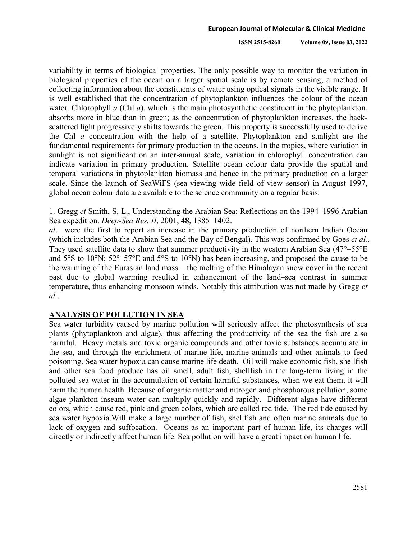**ISSN 2515-8260 Volume 09, Issue 03, 2022**

variability in terms of biological properties. The only possible way to monitor the variation in biological properties of the ocean on a larger spatial scale is by remote sensing, a method of collecting information about the constituents of water using optical signals in the visible range. It is well established that the concentration of phytoplankton influences the colour of the ocean water. Chlorophyll *a* (Chl *a*), which is the main photosynthetic constituent in the phytoplankton, absorbs more in blue than in green; as the concentration of phytoplankton increases, the backscattered light progressively shifts towards the green. This property is successfully used to derive the Chl *a* concentration with the help of a satellite. Phytoplankton and sunlight are the fundamental requirements for primary production in the oceans. In the tropics, where variation in sunlight is not significant on an inter-annual scale, variation in chlorophyll concentration can indicate variation in primary production. Satellite ocean colour data provide the spatial and temporal variations in phytoplankton biomass and hence in the primary production on a larger scale. Since the launch of SeaWiFS (sea-viewing wide field of view sensor) in August 1997, global ocean colour data are available to the science community on a regular basis.

1. Gregg *et* Smith, S. L., Understanding the Arabian Sea: Reflections on the 1994–1996 Arabian Sea expedition. *Deep-Sea Res. II*, 2001, **48**, 1385–1402.

*al*. were the first to report an increase in the primary production of northern Indian Ocean (which includes both the Arabian Sea and the Bay of Bengal). This was confirmed by Goes *et al.*. They used satellite data to show that summer productivity in the western Arabian Sea (47°–55°E) and 5°S to 10°N; 52°–57°E and 5°S to 10°N) has been increasing, and proposed the cause to be the warming of the Eurasian land mass – the melting of the Himalayan snow cover in the recent past due to global warming resulted in enhancement of the land–sea contrast in summer temperature, thus enhancing monsoon winds. Notably this attribution was not made by Gregg *et al.*.

## **ANALYSIS OF POLLUTION IN SEA**

Sea water turbidity caused by marine pollution will seriously affect the photosynthesis of sea plants (phytoplankton and algae), thus affecting the productivity of the sea the fish are also harmful. Heavy metals and toxic organic compounds and other toxic substances accumulate in the sea, and through the enrichment of marine life, marine animals and other animals to feed poisoning. Sea water hypoxia can cause marine life death. Oil will make economic fish, shellfish and other sea food produce has oil smell, adult fish, shellfish in the long-term living in the polluted sea water in the accumulation of certain harmful substances, when we eat them, it will harm the human health. Because of organic matter and nitrogen and phosphorous pollution, some algae plankton inseam water can multiply quickly and rapidly. Different algae have different colors, which cause red, pink and green colors, which are called red tide. The red tide caused by sea water hypoxia.Will make a large number of fish, shellfish and often marine animals due to lack of oxygen and suffocation. Oceans as an important part of human life, its charges will directly or indirectly affect human life. Sea pollution will have a great impact on human life.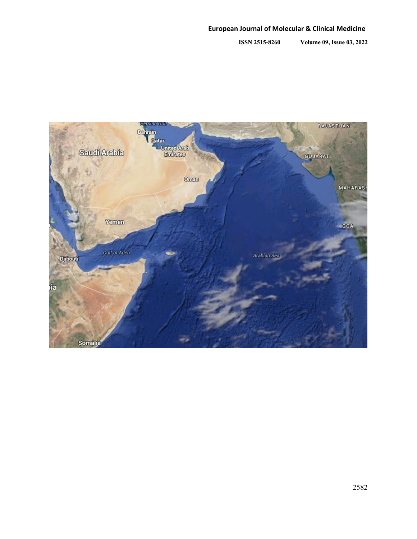## **European Journal of Molecular & Clinical Medicine**

**ISSN 2515-8260 Volume 09, Issue 03, 2022**

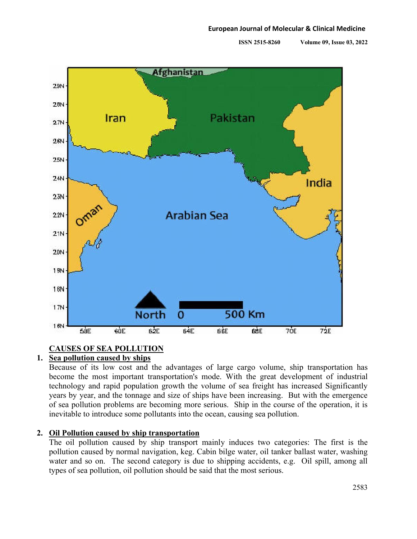#### **European Journal of Molecular & Clinical Medicine**

**ISSN 2515-8260 Volume 09, Issue 03, 2022**



## **CAUSES OF SEA POLLUTION**

# **1. Sea pollution caused by ships**

Because of its low cost and the advantages of large cargo volume, ship transportation has become the most important transportation's mode. With the great development of industrial technology and rapid population growth the volume of sea freight has increased Significantly years by year, and the tonnage and size of ships have been increasing. But with the emergence of sea pollution problems are becoming more serious. Ship in the course of the operation, it is inevitable to introduce some pollutants into the ocean, causing sea pollution.

#### **2. Oil Pollution caused by ship transportation**

The oil pollution caused by ship transport mainly induces two categories: The first is the pollution caused by normal navigation, keg. Cabin bilge water, oil tanker ballast water, washing water and so on. The second category is due to shipping accidents, e.g. Oil spill, among all types of sea pollution, oil pollution should be said that the most serious.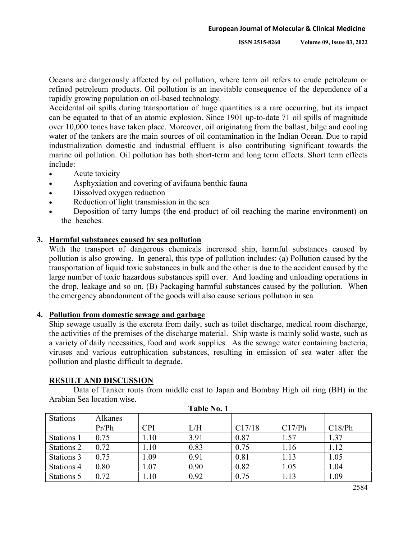Oceans are dangerously affected by oil pollution, where term oil refers to crude petroleum or refined petroleum products. Oil pollution is an inevitable consequence of the dependence of a rapidly growing population on oil-based technology.

Accidental oil spills during transportation of huge quantities is a rare occurring, but its impact can be equated to that of an atomic explosion. Since 1901 up-to-date 71 oil spills of magnitude over 10,000 tones have taken place. Moreover, oil originating from the ballast, bilge and cooling water of the tankers are the main sources of oil contamination in the Indian Ocean. Due to rapid industrialization domestic and industrial effluent is also contributing significant towards the marine oil pollution. Oil pollution has both short-term and long term effects. Short term effects include:

- Acute toxicity
- Asphyxiation and covering of avifauna benthic fauna
- Dissolved oxygen reduction
- Reduction of light transmission in the sea
- ∑ Deposition of tarry lumps (the end-product of oil reaching the marine environment) on the beaches.

## **3. Harmful substances caused by sea pollution**

With the transport of dangerous chemicals increased ship, harmful substances caused by pollution is also growing. In general, this type of pollution includes: (a) Pollution caused by the transportation of liquid toxic substances in bulk and the other is due to the accident caused by the large number of toxic hazardous substances spill over. And loading and unloading operations in the drop, leakage and so on. (B) Packaging harmful substances caused by the pollution. When the emergency abandonment of the goods will also cause serious pollution in sea

## **4. Pollution from domestic sewage and garbage**

Ship sewage usually is the excreta from daily, such as toilet discharge, medical room discharge, the activities of the premises of the discharge material. Ship waste is mainly solid waste, such as a variety of daily necessities, food and work supplies. As the sewage water containing bacteria, viruses and various eutrophication substances, resulting in emission of sea water after the pollution and plastic difficult to degrade.

#### **RESULT AND DISCUSSION**

Data of Tanker routs from middle east to Japan and Bombay High oil ring (BH) in the Arabian Sea location wise. **Table No. 1**

| 1 adie iyo. 1   |         |            |      |        |        |        |
|-----------------|---------|------------|------|--------|--------|--------|
| <b>Stations</b> | Alkanes |            |      |        |        |        |
|                 | Pr/Ph   | <b>CPI</b> | L/H  | C17/18 | C17/Ph | C18/Ph |
| Stations 1      | 0.75    | 1.10       | 3.91 | 0.87   | 1.57   | 1.37   |
| Stations 2      | 0.72    | 1.10       | 0.83 | 0.75   | 1.16   | 1.12   |
| Stations 3      | 0.75    | l.09       | 0.91 | 0.81   | 1.13   | 1.05   |
| Stations 4      | 0.80    | 1.07       | 0.90 | 0.82   | 1.05   | 1.04   |
| Stations 5      | 0.72    | .10        | 0.92 | 0.75   | 1.13   | 1.09   |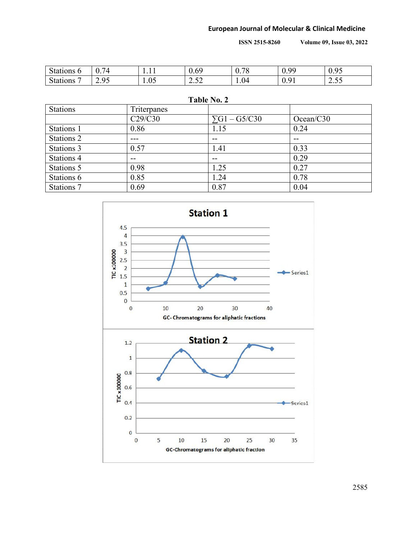## **European Journal of Molecular & Clinical Medicine**

**ISSN 2515-8260 Volume 09, Issue 03, 2022**

| $\sim$<br>10ns                                 | $\overline{\phantom{0}}$<br>7<br>v. | .<br>--               | 0.69                                                                                                                   | $\sim$<br>v. 70 | 00<br>∩<br><u>v.ze</u>        | ۸۵.<br>$v \cdot z$                           |
|------------------------------------------------|-------------------------------------|-----------------------|------------------------------------------------------------------------------------------------------------------------|-----------------|-------------------------------|----------------------------------------------|
| $\overline{\phantom{a}}$<br>$\sim$<br>Stations | $\sim$ $\sim$<br>-<br>ر ب           | $\sim$ $\sim$<br>1.0J | $\overline{a}$<br>$\overline{\phantom{m}}\cdot\overline{\phantom{m}}\hspace{5pt}\cdot\overline{\phantom{m}}$<br>______ | 1.04            | $\Omega$<br>$\Omega$<br>V.J 1 | $\overline{\phantom{0}}$<br>∽<br>ں ں ک<br>__ |

| 1 AVIC 190. <i>4</i> |             |                    |           |  |  |  |  |
|----------------------|-------------|--------------------|-----------|--|--|--|--|
| <b>Stations</b>      | Triterpanes |                    |           |  |  |  |  |
|                      | C29/C30     | $\sum$ G1 – G5/C30 | Ocean/C30 |  |  |  |  |
| Stations 1           | 0.86        | 1.15               | 0.24      |  |  |  |  |
| Stations 2           |             |                    |           |  |  |  |  |
| Stations 3           | 0.57        | 1.41               | 0.33      |  |  |  |  |
| Stations 4           | $- -$       | --                 | 0.29      |  |  |  |  |
| Stations 5           | 0.98        | 1.25               | 0.27      |  |  |  |  |
| Stations 6           | 0.85        | 1.24               | 0.78      |  |  |  |  |
| Stations 7           | 0.69        | 0.87               | 0.04      |  |  |  |  |

#### **Table No. 2**

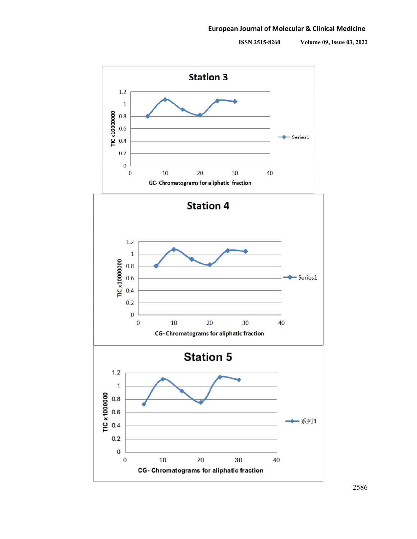**ISSN 2515-8260 Volume 09, Issue 03, 2022**

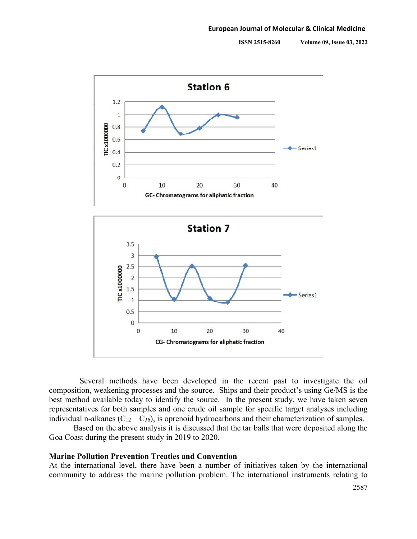**ISSN 2515-8260 Volume 09, Issue 03, 2022**





Several methods have been developed in the recent past to investigate the oil composition, weakening processes and the source. Ships and their product's using Ge/MS is the best method available today to identify the source. In the present study, we have taken seven representatives for both samples and one crude oil sample for specific target analyses including individual n-alkanes  $(C_{12} - C_{36})$ , is oprenoid hydrocarbons and their characterization of samples.

Based on the above analysis it is discussed that the tar balls that were deposited along the Goa Coast during the present study in 2019 to 2020.

#### **Marine Pollution Prevention Treaties and Convention**

At the international level, there have been a number of initiatives taken by the international community to address the marine pollution problem. The international instruments relating to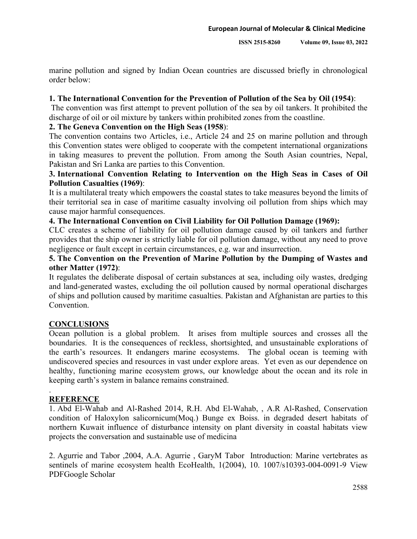marine pollution and signed by Indian Ocean countries are discussed briefly in chronological order below:

#### **1. The International Convention for the Prevention of Pollution of the Sea by Oil (1954)**:

The convention was first attempt to prevent pollution of the sea by oil tankers. It prohibited the discharge of oil or oil mixture by tankers within prohibited zones from the coastline.

## **2. The Geneva Convention on the High Seas (1958**):

The convention contains two Articles, i.e., Article 24 and 25 on marine pollution and through this Convention states were obliged to cooperate with the competent international organizations in taking measures to prevent the pollution. From among the South Asian countries, Nepal, Pakistan and Sri Lanka are parties to this Convention.

## **3. International Convention Relating to Intervention on the High Seas in Cases of Oil Pollution Casualties (1969)**:

It is a multilateral treaty which empowers the coastal states to take measures beyond the limits of their territorial sea in case of maritime casualty involving oil pollution from ships which may cause major harmful consequences.

## **4. The International Convention on Civil Liability for Oil Pollution Damage (1969):**

CLC creates a scheme of liability for oil pollution damage caused by oil tankers and further provides that the ship owner is strictly liable for oil pollution damage, without any need to prove negligence or fault except in certain circumstances, e.g. war and insurrection.

## **5. The Convention on the Prevention of Marine Pollution by the Dumping of Wastes and other Matter (1972)**:

It regulates the deliberate disposal of certain substances at sea, including oily wastes, dredging and land-generated wastes, excluding the oil pollution caused by normal operational discharges of ships and pollution caused by maritime casualties. Pakistan and Afghanistan are parties to this Convention.

## **CONCLUSIONS**

Ocean pollution is a global problem. It arises from multiple sources and crosses all the boundaries. It is the consequences of reckless, shortsighted, and unsustainable explorations of the earth's resources. It endangers marine ecosystems. The global ocean is teeming with undiscovered species and resources in vast under explore areas. Yet even as our dependence on healthy, functioning marine ecosystem grows, our knowledge about the ocean and its role in keeping earth's system in balance remains constrained.

## **REFERENCE**

.

1. Abd El-Wahab and Al-Rashed 2014, R.H. Abd El-Wahab, , A.R Al-Rashed, Conservation condition of Haloxylon salicornicum(Moq.) Bunge ex Boiss. in degraded desert habitats of northern Kuwait influence of disturbance intensity on plant diversity in coastal habitats view projects the conversation and sustainable use of medicina

2. Agurrie and Tabor ,2004, A.A. Agurrie , GaryM Tabor Introduction: Marine vertebrates as sentinels of marine ecosystem health EcoHealth, 1(2004), 10. 1007/s10393-004-0091-9 View PDFGoogle Scholar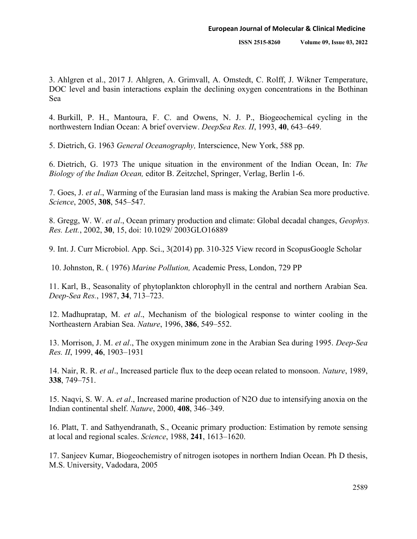3. Ahlgren et al., 2017 J. Ahlgren, A. Grimvall, A. Omstedt, C. Rolff, J. Wikner Temperature, DOC level and basin interactions explain the declining oxygen concentrations in the Bothinan Sea

4. Burkill, P. H., Mantoura, F. C. and Owens, N. J. P., Biogeochemical cycling in the northwestern Indian Ocean: A brief overview. *DeepSea Res. II*, 1993, **40**, 643–649.

5. Dietrich, G. 1963 *General Oceanography,* Interscience, New York, 588 pp.

6. Dietrich, G. 1973 The unique situation in the environment of the Indian Ocean, In: *The Biology of the Indian Ocean,* editor B. Zeitzchel, Springer, Verlag, Berlin 1-6.

7. Goes, J. *et al*., Warming of the Eurasian land mass is making the Arabian Sea more productive. *Science*, 2005, **308**, 545–547.

8. Gregg, W. W. *et al*., Ocean primary production and climate: Global decadal changes, *Geophys. Res. Lett.*, 2002, **30**, 15, doi: 10.1029/ 2003GLO16889

9. Int. J. Curr Microbiol. App. Sci., 3(2014) pp. 310-325 View record in ScopusGoogle Scholar

10. Johnston, R. ( 1976) *Marine Pollution,* Academic Press, London, 729 PP

11. Karl, B., Seasonality of phytoplankton chlorophyll in the central and northern Arabian Sea. *Deep-Sea Res.*, 1987, **34**, 713–723.

12. Madhupratap, M. *et al*., Mechanism of the biological response to winter cooling in the Northeastern Arabian Sea. *Nature*, 1996, **386**, 549–552.

13. Morrison, J. M. *et al*., The oxygen minimum zone in the Arabian Sea during 1995. *Deep-Sea Res. II*, 1999, **46**, 1903–1931

14. Nair, R. R. *et al*., Increased particle flux to the deep ocean related to monsoon. *Nature*, 1989, **338**, 749–751.

15. Naqvi, S. W. A. *et al*., Increased marine production of N2O due to intensifying anoxia on the Indian continental shelf. *Nature*, 2000, **408**, 346–349.

16. Platt, T. and Sathyendranath, S., Oceanic primary production: Estimation by remote sensing at local and regional scales. *Science*, 1988, **241**, 1613–1620.

17. Sanjeev Kumar, Biogeochemistry of nitrogen isotopes in northern Indian Ocean. Ph D thesis, M.S. University, Vadodara, 2005